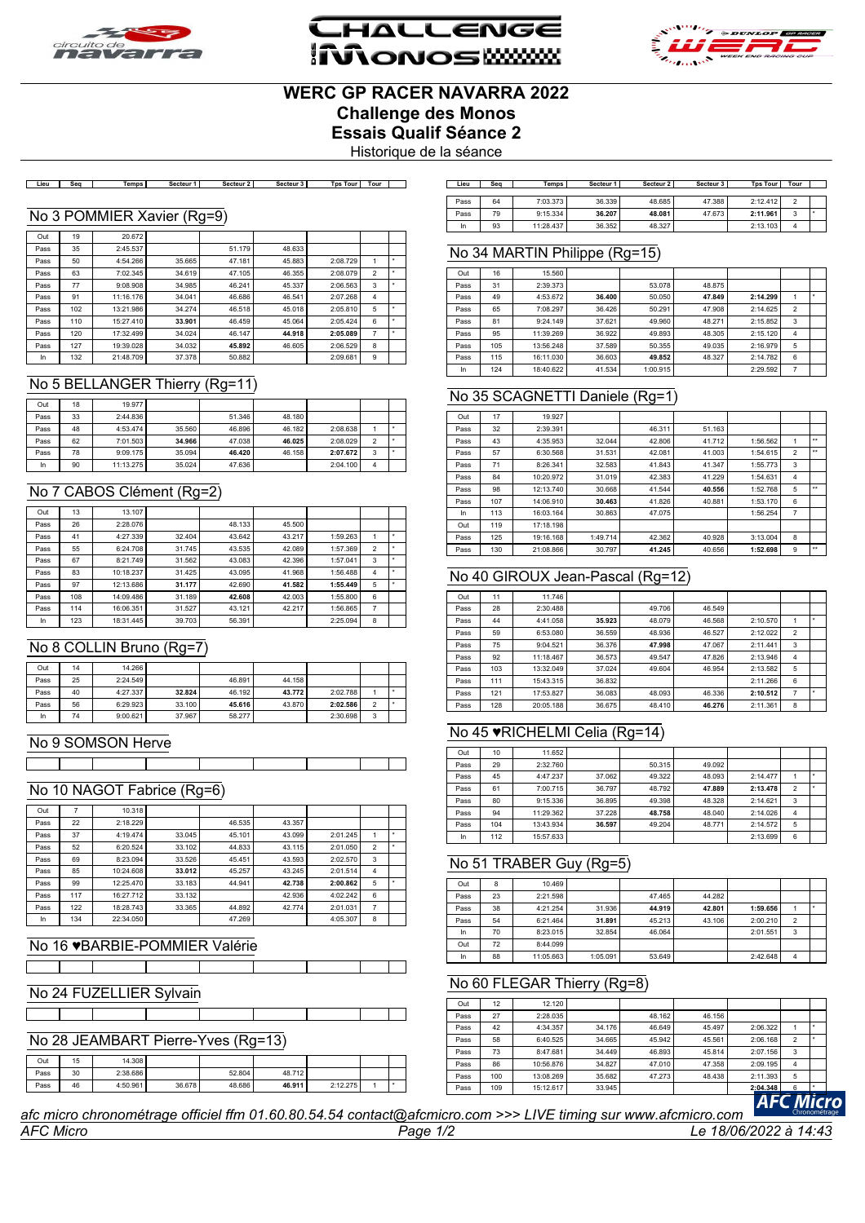

**HALLENG iMonoswww** 



# **WERC GP RACER NAVARRA 2022 Challenge des Monos Essais Qualif Séance 2**

Historique de la séance

Lieu | Seq | Temps | Secteur 1 | Secteur 2 | Secteur 3 | Tps Tour | Tour | ]

#### No 3 POMMIER Xavier (Rg=9)

| Out  | 19  | 20.672    |        |        |        |          |                |   |
|------|-----|-----------|--------|--------|--------|----------|----------------|---|
| Pass | 35  | 2:45.537  |        | 51.179 | 48.633 |          |                |   |
| Pass | 50  | 4:54.266  | 35.665 | 47.181 | 45.883 | 2:08.729 | 1              | ٠ |
| Pass | 63  | 7:02.345  | 34.619 | 47.105 | 46.355 | 2:08.079 | $\overline{2}$ | ٠ |
| Pass | 77  | 9:08.908  | 34.985 | 46.241 | 45.337 | 2:06.563 | 3              | ٠ |
| Pass | 91  | 11:16.176 | 34.041 | 46.686 | 46.541 | 2:07.268 | $\overline{4}$ |   |
| Pass | 102 | 13:21.986 | 34.274 | 46.518 | 45.018 | 2:05.810 | 5              | ٠ |
| Pass | 110 | 15:27.410 | 33.901 | 46.459 | 45.064 | 2:05.424 | 6              | ۰ |
| Pass | 120 | 17:32.499 | 34.024 | 46.147 | 44.918 | 2:05.089 | $\overline{7}$ | ٠ |
| Pass | 127 | 19:39.028 | 34.032 | 45.892 | 46.605 | 2:06.529 | 8              |   |
| In   | 132 | 21:48.709 | 37.378 | 50.882 |        | 2:09.681 | 9              |   |

#### No 5 BELLANGER Thierry (Rg=11)

| Out  | 18 | 19.977    |        |        |        |          |                |  |
|------|----|-----------|--------|--------|--------|----------|----------------|--|
| Pass | 33 | 2:44.836  |        | 51.346 | 48.180 |          |                |  |
| Pass | 48 | 4:53.474  | 35.560 | 46.896 | 46.182 | 2:08.638 |                |  |
| Pass | 62 | 7:01.503  | 34.966 | 47.038 | 46.025 | 2:08.029 | $\mathfrak{p}$ |  |
| Pass | 78 | 9:09.175  | 35.094 | 46.420 | 46.158 | 2:07.672 | 3              |  |
| In   | 90 | 11:13.275 | 35.024 | 47.636 |        | 2:04.100 | 4              |  |

#### No 7 CABOS Clément (Rg=2)

| Out  | 13  | 13.107    |        |        |        |          |                |   |
|------|-----|-----------|--------|--------|--------|----------|----------------|---|
| Pass | 26  | 2:28.076  |        | 48.133 | 45.500 |          |                |   |
| Pass | 41  | 4:27.339  | 32,404 | 43.642 | 43.217 | 1:59.263 |                |   |
| Pass | 55  | 6:24.708  | 31.745 | 43.535 | 42.089 | 1:57.369 | $\overline{2}$ | ۰ |
| Pass | 67  | 8:21.749  | 31.562 | 43.083 | 42.396 | 1:57.041 | 3              |   |
| Pass | 83  | 10:18.237 | 31.425 | 43.095 | 41.968 | 1:56.488 | $\overline{4}$ |   |
| Pass | 97  | 12:13.686 | 31.177 | 42.690 | 41.582 | 1:55.449 | 5              |   |
| Pass | 108 | 14:09.486 | 31.189 | 42.608 | 42.003 | 1:55.800 | 6              |   |
| Pass | 114 | 16:06.351 | 31.527 | 43.121 | 42.217 | 1:56.865 | 7              |   |
| In   | 123 | 18:31.445 | 39.703 | 56.391 |        | 2:25.094 | 8              |   |

## No 8 COLLIN Bruno (Rg=7)

| Out  | 14 | 14.266   |        |        |        |          |        |  |
|------|----|----------|--------|--------|--------|----------|--------|--|
| Pass | 25 | 2:24.549 |        | 46.891 | 44.158 |          |        |  |
| Pass | 40 | 4:27.337 | 32.824 | 46.192 | 43.772 | 2:02.788 |        |  |
| Pass | 56 | 6:29.923 | 33,100 | 45.616 | 43.870 | 2:02.586 | $\sim$ |  |
| In   | 74 | 9:00.621 | 37.967 | 58.277 |        | 2:30.698 | ٠      |  |

#### No 9 SOMSON Herve

<u> Timber Shekara Tingga</u>

#### No 10 NAGOT Fabrice (Rg=6)

 $\mathcal{L}(\mathcal{A})$ 

| Out  |     | 10.318    |        |        |        |          |                |   |
|------|-----|-----------|--------|--------|--------|----------|----------------|---|
| Pass | 22  | 2:18.229  |        | 46.535 | 43.357 |          |                |   |
| Pass | 37  | 4:19.474  | 33.045 | 45.101 | 43.099 | 2:01.245 |                | ٠ |
| Pass | 52  | 6:20.524  | 33.102 | 44.833 | 43.115 | 2:01.050 | $\overline{2}$ | ۰ |
| Pass | 69  | 8:23.094  | 33.526 | 45.451 | 43.593 | 2:02.570 | 3              |   |
| Pass | 85  | 10:24.608 | 33.012 | 45.257 | 43.245 | 2:01.514 | $\overline{4}$ |   |
| Pass | 99  | 12:25.470 | 33.183 | 44.941 | 42.738 | 2:00.862 | 5              | ٠ |
| Pass | 117 | 16:27.712 | 33.132 |        | 42.936 | 4:02.242 | 6              |   |
| Pass | 122 | 18:28.743 | 33.365 | 44.892 | 42.774 | 2:01.031 | $\overline{7}$ |   |
| In   | 134 | 22:34.050 |        | 47.269 |        | 4:05.307 | 8              |   |

#### No 16 ♥BARBIE-POMMIER Valérie  $\overline{\phantom{a}}$

No 24 FUZELLIER Sylvain

**The Company** 

 $\top$ 

|      |    |          | No 28 JEAMBART Pierre-Yves (Rg=13) |        |        |          |  |
|------|----|----------|------------------------------------|--------|--------|----------|--|
|      |    |          |                                    |        |        |          |  |
| Out  | 15 | 14.308   |                                    |        |        |          |  |
| Pass | 30 | 2:38.686 |                                    | 52.804 | 48.712 |          |  |
| Pass | 46 | 4:50.961 | 36,678                             | 48.686 | 46.911 | 2:12.275 |  |

| Lieu | Sea | Temps I   | Secteur <sub>1</sub> | Secteur 2 | Secteur 3 | <b>Tps Tour</b> | Tour |  |
|------|-----|-----------|----------------------|-----------|-----------|-----------------|------|--|
|      |     |           |                      |           |           |                 |      |  |
| Pass | 64  | 7:03.373  | 36.339               | 48.685    | 47.388    | 2:12.412        |      |  |
| Pass | 79  | 9:15.334  | 36.207               | 48.081    | 47.673    | 2:11.961        | 3    |  |
| In   | 93  | 11:28.437 | 36.352               | 48.327    |           | 2:13.103        | Δ    |  |

## No 34 MARTIN Philippe (Rg=15)

| Out  | 16  | 15.560    |        |          |        |          |                |  |
|------|-----|-----------|--------|----------|--------|----------|----------------|--|
| Pass | 31  | 2:39.373  |        | 53.078   | 48.875 |          |                |  |
| Pass | 49  | 4:53.672  | 36,400 | 50.050   | 47.849 | 2:14.299 |                |  |
| Pass | 65  | 7:08.297  | 36.426 | 50.291   | 47.908 | 2:14.625 | $\overline{2}$ |  |
| Pass | 81  | 9:24.149  | 37.621 | 49.960   | 48.271 | 2:15.852 | 3              |  |
| Pass | 95  | 11:39.269 | 36.922 | 49.893   | 48.305 | 2:15.120 | $\overline{4}$ |  |
| Pass | 105 | 13:56.248 | 37.589 | 50.355   | 49.035 | 2:16.979 | 5              |  |
| Pass | 115 | 16:11.030 | 36,603 | 49.852   | 48.327 | 2:14.782 | 6              |  |
| In.  | 124 | 18:40.622 | 41.534 | 1:00.915 |        | 2:29.592 | 7              |  |

#### No 35 SCAGNETTI Daniele (Rg=1)

| Out  | 17  | 19.927    |          |        |        |          |                |              |
|------|-----|-----------|----------|--------|--------|----------|----------------|--------------|
| Pass | 32  | 2:39.391  |          | 46.311 | 51.163 |          |                |              |
| Pass | 43  | 4:35.953  | 32.044   | 42.806 | 41.712 | 1:56.562 | 1              | $\star\star$ |
| Pass | 57  | 6:30.568  | 31.531   | 42.081 | 41.003 | 1:54.615 | $\overline{2}$ | $\star\star$ |
| Pass | 71  | 8:26.341  | 32.583   | 41.843 | 41.347 | 1:55.773 | 3              |              |
| Pass | 84  | 10:20.972 | 31.019   | 42.383 | 41.229 | 1:54.631 | $\overline{4}$ |              |
| Pass | 98  | 12:13.740 | 30.668   | 41.544 | 40.556 | 1:52.768 | 5              | $\star\star$ |
| Pass | 107 | 14:06.910 | 30.463   | 41.826 | 40.881 | 1:53.170 | 6              |              |
| In   | 113 | 16:03.164 | 30.863   | 47.075 |        | 1:56.254 | $\overline{7}$ |              |
| Out  | 119 | 17:18.198 |          |        |        |          |                |              |
| Pass | 125 | 19:16.168 | 1:49.714 | 42.362 | 40.928 | 3:13.004 | 8              |              |
| Pass | 130 | 21:08.866 | 30.797   | 41.245 | 40.656 | 1:52.698 | 9              | $***$        |

#### No 40 GIROUX Jean-Pascal (Rg=12)

| Out  | 11  | 11.746    |        |        |        |          |                |   |
|------|-----|-----------|--------|--------|--------|----------|----------------|---|
| Pass | 28  | 2:30.488  |        | 49.706 | 46.549 |          |                |   |
| Pass | 44  | 4:41.058  | 35.923 | 48.079 | 46.568 | 2:10.570 |                |   |
| Pass | 59  | 6:53.080  | 36.559 | 48.936 | 46.527 | 2:12.022 | $\overline{2}$ |   |
| Pass | 75  | 9:04.521  | 36.376 | 47.998 | 47.067 | 2:11.441 | 3              |   |
| Pass | 92  | 11:18.467 | 36.573 | 49.547 | 47.826 | 2:13.946 | 4              |   |
| Pass | 103 | 13:32.049 | 37.024 | 49.604 | 46.954 | 2:13.582 | 5              |   |
| Pass | 111 | 15:43.315 | 36.832 |        |        | 2:11.266 | 6              |   |
| Pass | 121 | 17:53.827 | 36.083 | 48.093 | 46.336 | 2:10.512 | 7              | ۰ |
| Pass | 128 | 20:05.188 | 36.675 | 48.410 | 46.276 | 2:11.361 | 8              |   |

#### No 45 ♥RICHELMI Celia (Rg=14)

| Out  | 10  | 11.652    |        |        |        |          |                |   |
|------|-----|-----------|--------|--------|--------|----------|----------------|---|
| Pass | 29  | 2:32.760  |        | 50.315 | 49.092 |          |                |   |
| Pass | 45  | 4:47.237  | 37.062 | 49.322 | 48.093 | 2:14.477 |                | ۰ |
| Pass | 61  | 7:00.715  | 36.797 | 48.792 | 47.889 | 2:13.478 | $\overline{2}$ |   |
| Pass | 80  | 9:15.336  | 36.895 | 49.398 | 48.328 | 2:14.621 | 3              |   |
| Pass | 94  | 11:29.362 | 37.228 | 48.758 | 48.040 | 2:14.026 | 4              |   |
| Pass | 104 | 13:43.934 | 36.597 | 49.204 | 48.771 | 2:14.572 | 5              |   |
| In   | 112 | 15:57.633 |        |        |        | 2:13.699 | 6              |   |

## No 51 TRABER Guy (Rg=5)

| Out  | 8  | 10.469    |          |        |        |          |                |  |
|------|----|-----------|----------|--------|--------|----------|----------------|--|
| Pass | 23 | 2:21.598  |          | 47.465 | 44.282 |          |                |  |
| Pass | 38 | 4:21.254  | 31.936   | 44.919 | 42.801 | 1:59.656 |                |  |
| Pass | 54 | 6:21.464  | 31.891   | 45.213 | 43.106 | 2:00.210 | $\overline{2}$ |  |
| In   | 70 | 8:23.015  | 32.854   | 46.064 |        | 2:01.551 | 3              |  |
| Out  | 72 | 8:44.099  |          |        |        |          |                |  |
| In   | 88 | 11:05.663 | 1:05.091 | 53.649 |        | 2:42.648 | 4              |  |

#### No 60 FLEGAR Thierry (Rg=8)

| Out  | 12  | 12.120    |        |        |        |          |                          |         |
|------|-----|-----------|--------|--------|--------|----------|--------------------------|---------|
| Pass | 27  | 2:28.035  |        | 48.162 | 46.156 |          |                          |         |
| Pass | 42  | 4:34.357  | 34.176 | 46.649 | 45.497 | 2:06.322 |                          |         |
| Pass | 58  | 6:40.525  | 34.665 | 45.942 | 45.561 | 2:06.168 | $\overline{\phantom{a}}$ | $\cdot$ |
| Pass | 73  | 8:47.681  | 34.449 | 46.893 | 45.814 | 2:07.156 | 3                        |         |
| Pass | 86  | 10:56.876 | 34.827 | 47.010 | 47.358 | 2:09.195 | 4                        |         |
| Pass | 100 | 13:08.269 | 35.682 | 47.273 | 48.438 | 2:11.393 | 5                        |         |
| Pass | 109 | 15:12.617 | 33.945 |        |        | 2:04.348 |                          | $\cdot$ |

*afc micro chronométrage officiel ffm 01.60.80.54.54 contact@afcmicro.com >>> LIVE timing sur www.afcmicro.com*

The Co

<u>a sa Bara</u>

*AFC Micro Page 1/2 Le 18/06/2022 à 14:43*